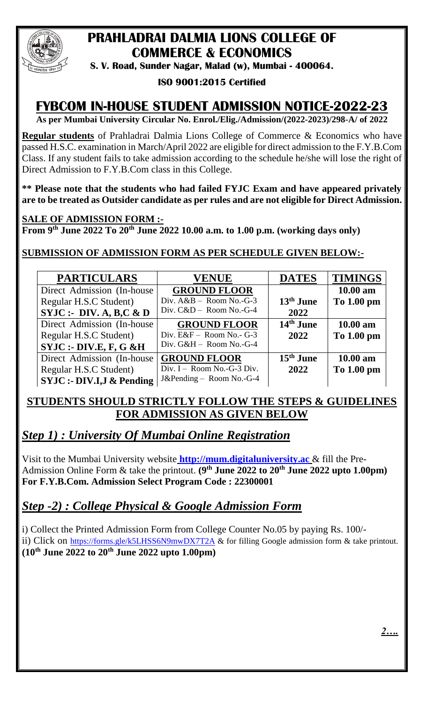

# **PRAHLADRAI DALMIA LIONS COLLEGE OF COMMERCE & ECONOMICS**

**S. V. Road, Sunder Nagar, Malad (w), Mumbai - 400064.**

#### **ISO 9001:2015 Certified**

# **FYBCOM IN-HOUSE STUDENT ADMISSION NOTICE-2022-23**

**As per Mumbai University Circular No. Enrol./Elig./Admission/(2022-2023)/298-A/ of 2022**

**Regular students** of Prahladrai Dalmia Lions College of Commerce & Economics who have passed H.S.C. examination in March/April 2022 are eligible for direct admission to the F.Y.B.Com Class. If any student fails to take admission according to the schedule he/she will lose the right of Direct Admission to F.Y.B.Com class in this College.

**\*\* Please note that the students who had failed FYJC Exam and have appeared privately are to be treated as Outsider candidate as per rules and are not eligible for Direct Admission.**

#### **SALE OF ADMISSION FORM :-**

**From 9 th June 2022 To 20th June 2022 10.00 a.m. to 1.00 p.m. (working days only)**

### **SUBMISSION OF ADMISSION FORM AS PER SCHEDULE GIVEN BELOW:-**

| <b>PARTICULARS</b>                  | <b>VENUE</b>               | <b>DATES</b>          | <b>TIMINGS</b>     |
|-------------------------------------|----------------------------|-----------------------|--------------------|
| Direct Admission (In-house)         | <b>GROUND FLOOR</b>        |                       | 10.00 am           |
| Regular H.S.C Student)              | Div. $A&B -$ Room No.-G-3  | $13th$ June           | To 1.00 pm         |
| SYJC: DIV.A, B,C & D                | Div. $C&D$ – Room No.-G-4  | 2022                  |                    |
| Direct Admission (In-house)         | <b>GROUND FLOOR</b>        | 14 <sup>th</sup> June | $10.00 \text{ am}$ |
| Regular H.S.C Student)              | Div. $E&F -$ Room No.- G-3 | 2022                  | To 1.00 pm         |
| SYJC: DIV.E, F, G & H               | Div. G&H - Room No.-G-4    |                       |                    |
| Direct Admission (In-house)         | <b>GROUND FLOOR</b>        | $15th$ June           | $10.00$ am         |
| Regular H.S.C Student)              | Div. I - Room No.-G-3 Div. | 2022                  | To 1.00 pm         |
| <b>SYJC:- DIV.I,J &amp; Pending</b> | J&Pending - Room No.-G-4   |                       |                    |

## **STUDENTS SHOULD STRICTLY FOLLOW THE STEPS & GUIDELINES FOR ADMISSION AS GIVEN BELOW**

## *Step 1) : University Of Mumbai Online Registration*

Visit to the Mumbai University website **[http://mum.digitaluniversity.ac](http://mum.digitaluniversity.ac/)** & fill the Pre-Admission Online Form & take the printout. **(9 th June 2022 to 20th June 2022 upto 1.00pm) For F.Y.B.Com. Admission Select Program Code : 22300001** 

## *Step -2) : College Physical & Google Admission Form*

i) Collect the Printed Admission Form from College Counter No.05 by paying Rs. 100/ ii) Click on <https://forms.gle/k5LHSS6N9mwDX7T2A> & for filling Google admission form & take printout. **(10th June 2022 to 20th June 2022 upto 1.00pm)**